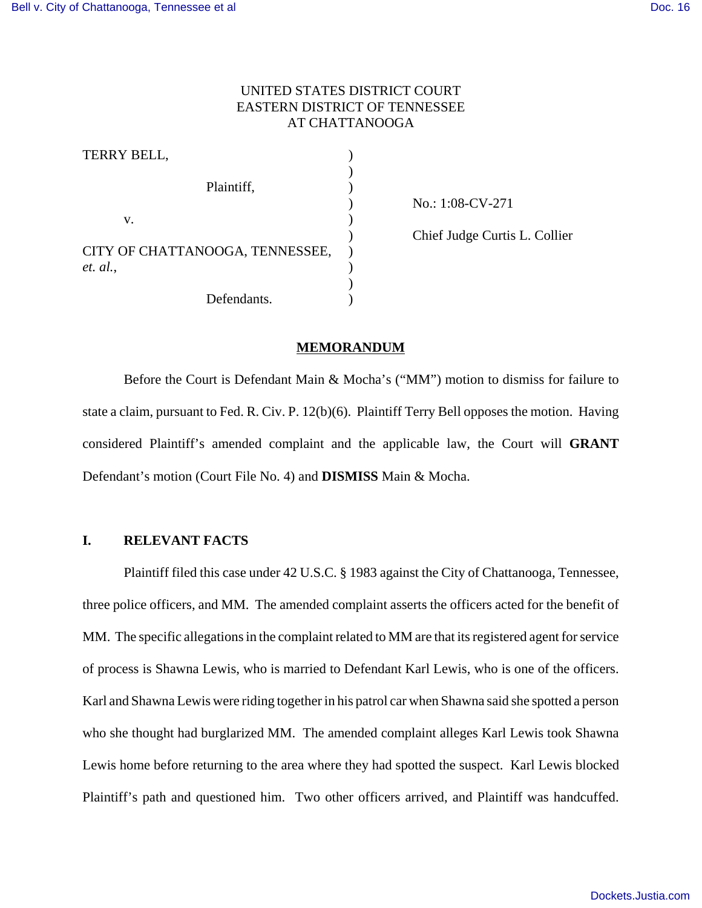## UNITED STATES DISTRICT COURT EASTERN DISTRICT OF TENNESSEE AT CHATTANOOGA

| TERRY BELL,                     |  |
|---------------------------------|--|
| Plaintiff,                      |  |
|                                 |  |
| V.                              |  |
| CITY OF CHATTANOOGA, TENNESSEE, |  |
|                                 |  |
| et. al.,                        |  |
| Defendants.                     |  |

) No.: 1:08-CV-271

) Chief Judge Curtis L. Collier

### **MEMORANDUM**

Before the Court is Defendant Main & Mocha's ("MM") motion to dismiss for failure to state a claim, pursuant to Fed. R. Civ. P. 12(b)(6). Plaintiff Terry Bell opposes the motion. Having considered Plaintiff's amended complaint and the applicable law, the Court will **GRANT** Defendant's motion (Court File No. 4) and **DISMISS** Main & Mocha.

## **I. RELEVANT FACTS**

Plaintiff filed this case under 42 U.S.C. § 1983 against the City of Chattanooga, Tennessee, three police officers, and MM. The amended complaint asserts the officers acted for the benefit of MM. The specific allegations in the complaint related to MM are that its registered agent for service of process is Shawna Lewis, who is married to Defendant Karl Lewis, who is one of the officers. Karl and Shawna Lewis were riding together in his patrol car when Shawna said she spotted a person who she thought had burglarized MM. The amended complaint alleges Karl Lewis took Shawna Lewis home before returning to the area where they had spotted the suspect. Karl Lewis blocked Plaintiff's path and questioned him. Two other officers arrived, and Plaintiff was handcuffed.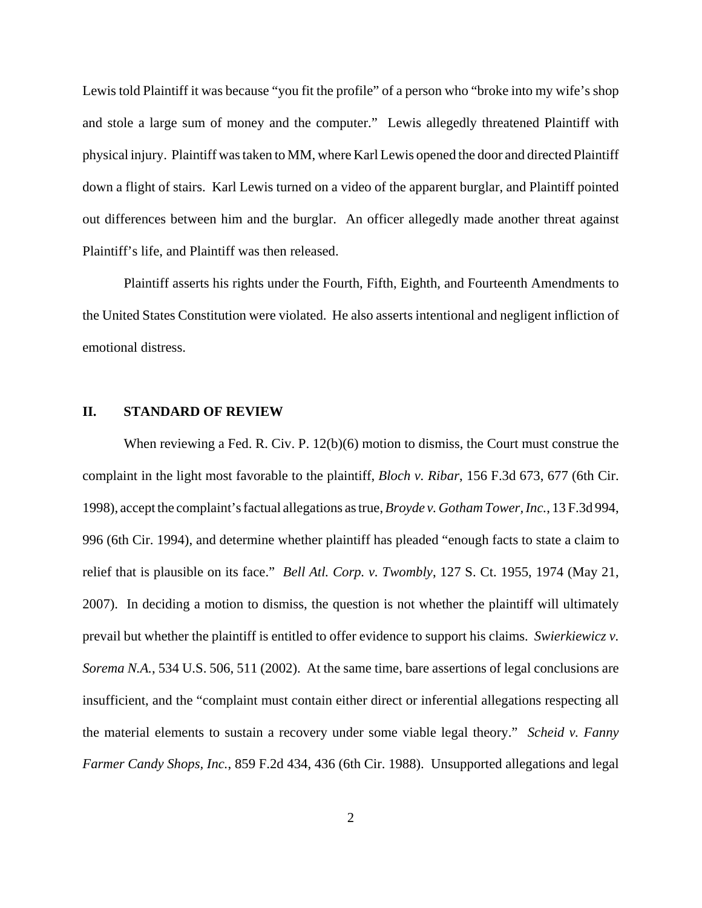Lewis told Plaintiff it was because "you fit the profile" of a person who "broke into my wife's shop and stole a large sum of money and the computer." Lewis allegedly threatened Plaintiff with physical injury. Plaintiff was taken to MM, where Karl Lewis opened the door and directed Plaintiff down a flight of stairs. Karl Lewis turned on a video of the apparent burglar, and Plaintiff pointed out differences between him and the burglar. An officer allegedly made another threat against Plaintiff's life, and Plaintiff was then released.

Plaintiff asserts his rights under the Fourth, Fifth, Eighth, and Fourteenth Amendments to the United States Constitution were violated. He also asserts intentional and negligent infliction of emotional distress.

### **II. STANDARD OF REVIEW**

When reviewing a Fed. R. Civ. P. 12(b)(6) motion to dismiss, the Court must construe the complaint in the light most favorable to the plaintiff, *Bloch v. Ribar*, 156 F.3d 673, 677 (6th Cir. 1998), accept the complaint's factual allegations as true, *Broyde v. Gotham Tower, Inc.*, 13 F.3d 994, 996 (6th Cir. 1994), and determine whether plaintiff has pleaded "enough facts to state a claim to relief that is plausible on its face." *Bell Atl. Corp. v. Twombly*, 127 S. Ct. 1955, 1974 (May 21, 2007). In deciding a motion to dismiss, the question is not whether the plaintiff will ultimately prevail but whether the plaintiff is entitled to offer evidence to support his claims. *Swierkiewicz v. Sorema N.A.*, 534 U.S. 506, 511 (2002). At the same time, bare assertions of legal conclusions are insufficient, and the "complaint must contain either direct or inferential allegations respecting all the material elements to sustain a recovery under some viable legal theory." *Scheid v. Fanny Farmer Candy Shops, Inc.*, 859 F.2d 434, 436 (6th Cir. 1988). Unsupported allegations and legal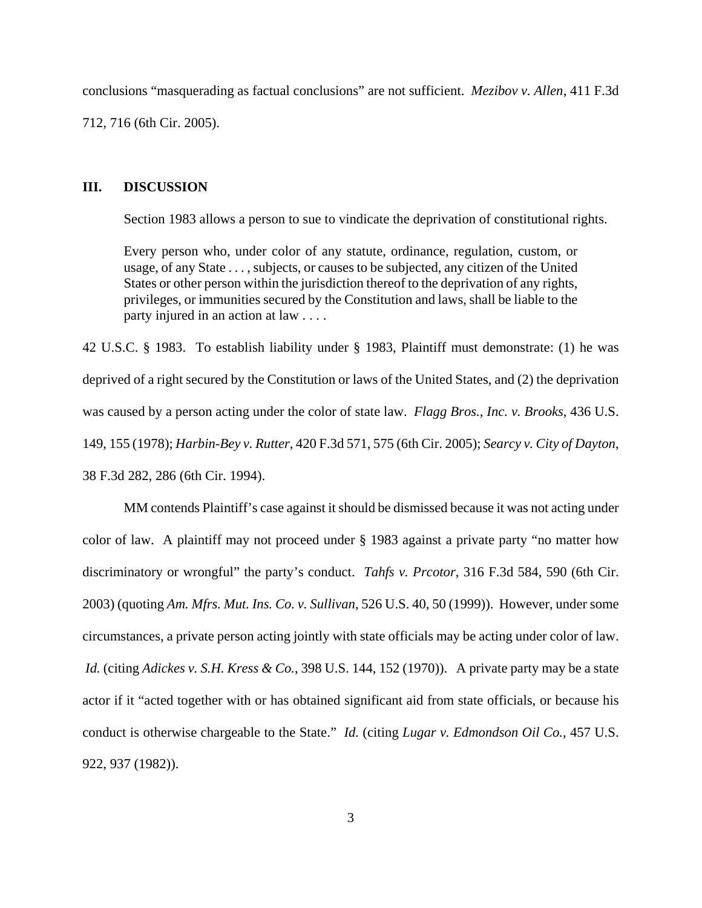conclusions "masquerading as factual conclusions" are not sufficient. *Mezibov v. Allen*, 411 F.3d 712, 716 (6th Cir. 2005).

#### **III. DISCUSSION**

Section 1983 allows a person to sue to vindicate the deprivation of constitutional rights.

Every person who, under color of any statute, ordinance, regulation, custom, or usage, of any State . . . , subjects, or causes to be subjected, any citizen of the United States or other person within the jurisdiction thereof to the deprivation of any rights, privileges, or immunities secured by the Constitution and laws, shall be liable to the party injured in an action at law . . . .

42 U.S.C. § 1983. To establish liability under § 1983, Plaintiff must demonstrate: (1) he was deprived of a right secured by the Constitution or laws of the United States, and (2) the deprivation was caused by a person acting under the color of state law. *Flagg Bros., Inc. v. Brooks*, 436 U.S. 149, 155 (1978); *Harbin-Bey v. Rutter*, 420 F.3d 571, 575 (6th Cir. 2005); *Searcy v. City of Dayton*, 38 F.3d 282, 286 (6th Cir. 1994).

MM contends Plaintiff's case against it should be dismissed because it was not acting under color of law. A plaintiff may not proceed under § 1983 against a private party "no matter how discriminatory or wrongful" the party's conduct. *Tahfs v. Prcotor*, 316 F.3d 584, 590 (6th Cir. 2003) (quoting *Am. Mfrs. Mut. Ins. Co. v. Sullivan*, 526 U.S. 40, 50 (1999)). However, under some circumstances, a private person acting jointly with state officials may be acting under color of law. *Id.* (citing *Adickes v. S.H. Kress & Co.*, 398 U.S. 144, 152 (1970)). A private party may be a state actor if it "acted together with or has obtained significant aid from state officials, or because his conduct is otherwise chargeable to the State." *Id.* (citing *Lugar v. Edmondson Oil Co.*, 457 U.S. 922, 937 (1982)).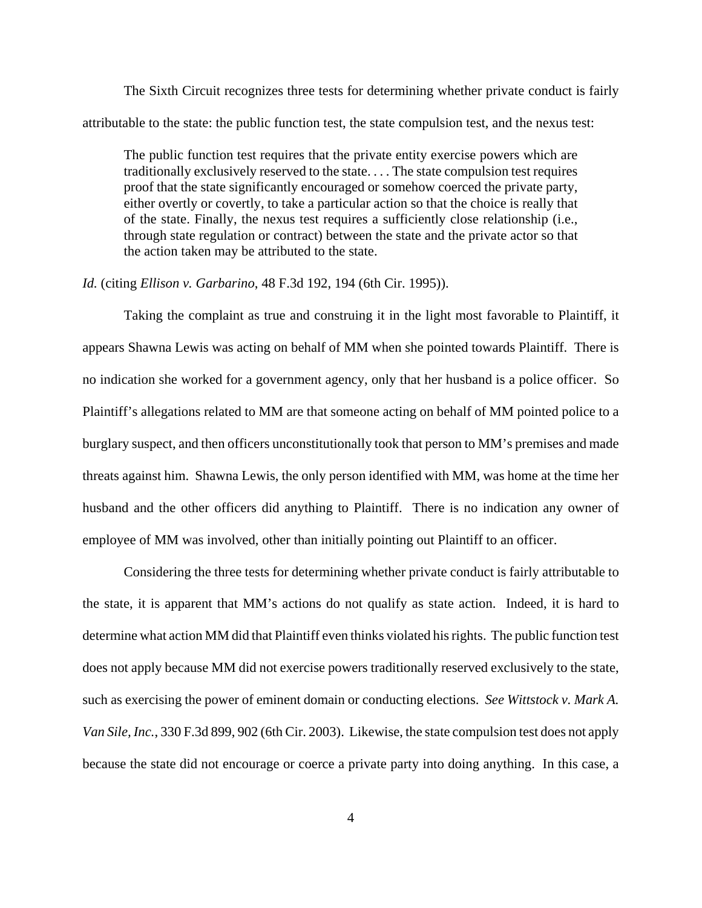The Sixth Circuit recognizes three tests for determining whether private conduct is fairly attributable to the state: the public function test, the state compulsion test, and the nexus test:

The public function test requires that the private entity exercise powers which are traditionally exclusively reserved to the state. . . . The state compulsion test requires proof that the state significantly encouraged or somehow coerced the private party, either overtly or covertly, to take a particular action so that the choice is really that of the state. Finally, the nexus test requires a sufficiently close relationship (i.e., through state regulation or contract) between the state and the private actor so that the action taken may be attributed to the state.

*Id.* (citing *Ellison v. Garbarino*, 48 F.3d 192, 194 (6th Cir. 1995)).

Taking the complaint as true and construing it in the light most favorable to Plaintiff, it appears Shawna Lewis was acting on behalf of MM when she pointed towards Plaintiff. There is no indication she worked for a government agency, only that her husband is a police officer. So Plaintiff's allegations related to MM are that someone acting on behalf of MM pointed police to a burglary suspect, and then officers unconstitutionally took that person to MM's premises and made threats against him. Shawna Lewis, the only person identified with MM, was home at the time her husband and the other officers did anything to Plaintiff. There is no indication any owner of employee of MM was involved, other than initially pointing out Plaintiff to an officer.

Considering the three tests for determining whether private conduct is fairly attributable to the state, it is apparent that MM's actions do not qualify as state action. Indeed, it is hard to determine what action MM did that Plaintiff even thinks violated his rights. The public function test does not apply because MM did not exercise powers traditionally reserved exclusively to the state, such as exercising the power of eminent domain or conducting elections. *See Wittstock v. Mark A. Van Sile, Inc.*, 330 F.3d 899, 902 (6th Cir. 2003). Likewise, the state compulsion test does not apply because the state did not encourage or coerce a private party into doing anything. In this case, a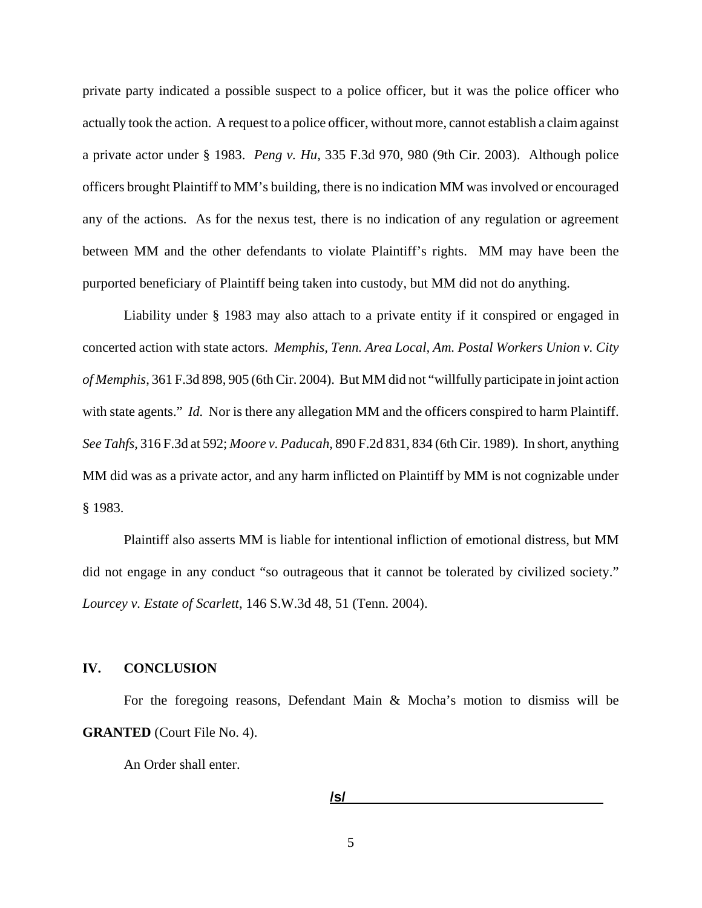private party indicated a possible suspect to a police officer, but it was the police officer who actually took the action. A request to a police officer, without more, cannot establish a claim against a private actor under § 1983. *Peng v. Hu*, 335 F.3d 970, 980 (9th Cir. 2003). Although police officers brought Plaintiff to MM's building, there is no indication MM was involved or encouraged any of the actions. As for the nexus test, there is no indication of any regulation or agreement between MM and the other defendants to violate Plaintiff's rights. MM may have been the purported beneficiary of Plaintiff being taken into custody, but MM did not do anything.

Liability under § 1983 may also attach to a private entity if it conspired or engaged in concerted action with state actors. *Memphis, Tenn. Area Local, Am. Postal Workers Union v. City of Memphis*, 361 F.3d 898, 905 (6th Cir. 2004). But MM did not "willfully participate in joint action with state agents." *Id.* Nor is there any allegation MM and the officers conspired to harm Plaintiff. *See Tahfs*, 316 F.3d at 592; *Moore v. Paducah*, 890 F.2d 831, 834 (6th Cir. 1989). In short, anything MM did was as a private actor, and any harm inflicted on Plaintiff by MM is not cognizable under § 1983.

Plaintiff also asserts MM is liable for intentional infliction of emotional distress, but MM did not engage in any conduct "so outrageous that it cannot be tolerated by civilized society." *Lourcey v. Estate of Scarlett*, 146 S.W.3d 48, 51 (Tenn. 2004).

### **IV. CONCLUSION**

For the foregoing reasons, Defendant Main & Mocha's motion to dismiss will be **GRANTED** (Court File No. 4).

An Order shall enter.

$$
I \mathbf{s} I
$$